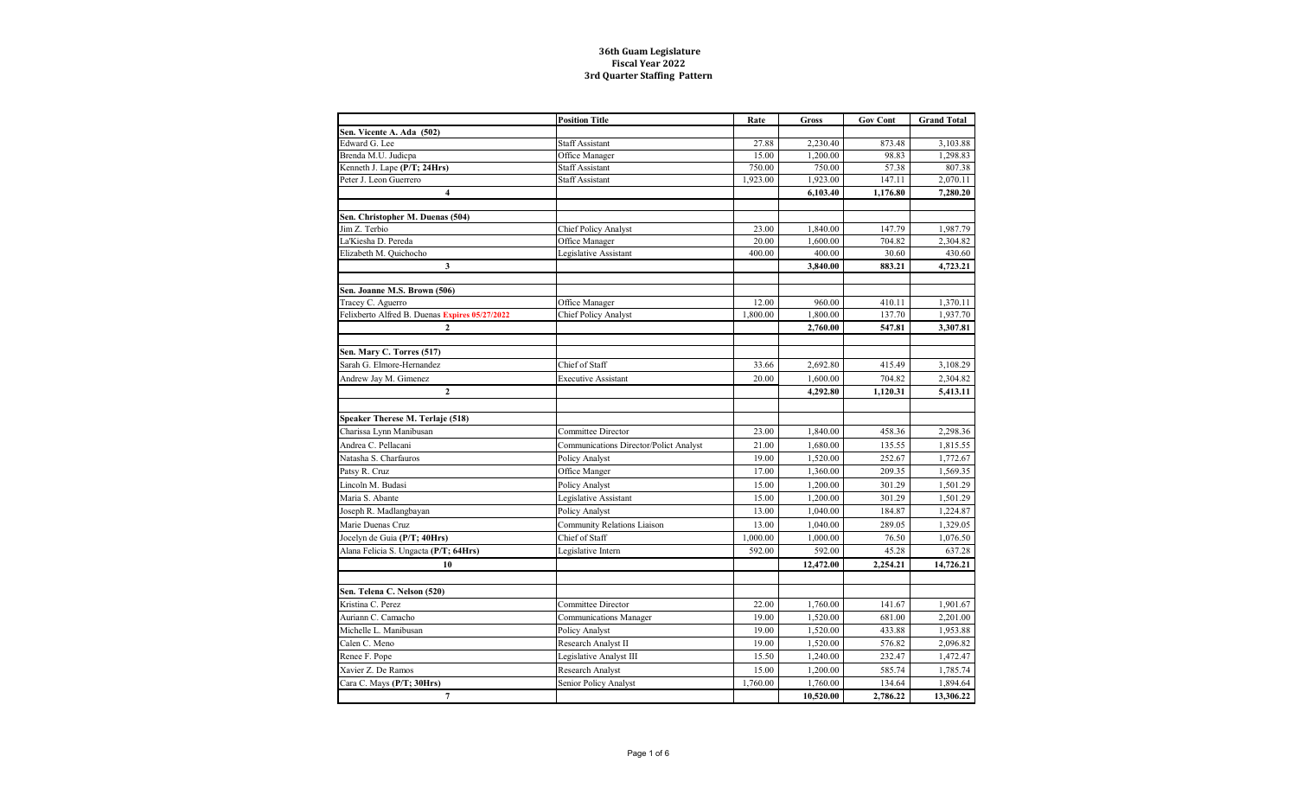|                                                | <b>Position Title</b>                  | Rate     | Gross     | <b>Gov Cont</b> | <b>Grand Total</b> |
|------------------------------------------------|----------------------------------------|----------|-----------|-----------------|--------------------|
| Sen. Vicente A. Ada (502)                      |                                        |          |           |                 |                    |
| Edward G. Lee                                  | <b>Staff Assistant</b>                 | 27.88    | 2,230.40  | 873.48          | 3,103.88           |
| Brenda M.U. Judicpa                            | Office Manager                         | 15.00    | 1,200.00  | 98.83           | 1,298.83           |
| Kenneth J. Lape (P/T; 24Hrs)                   | <b>Staff Assistant</b>                 | 750.00   | 750.00    | 57.38           | 807.38             |
| Peter J. Leon Guerrero                         | <b>Staff Assistant</b>                 | 1,923.00 | 1,923.00  | 147.11          | 2,070.11           |
| 4                                              |                                        |          | 6,103.40  | 1,176.80        | 7,280.20           |
|                                                |                                        |          |           |                 |                    |
| Sen. Christopher M. Duenas (504)               |                                        |          |           |                 |                    |
| Jim Z. Terbio                                  | <b>Chief Policy Analyst</b>            | 23.00    | 1,840.00  | 147.79          | 1,987.79           |
| La'Kiesha D. Pereda                            | Office Manager                         | 20.00    | 1,600.00  | 704.82          | 2,304.82           |
| Elizabeth M. Quichocho                         | Legislative Assistant                  | 400.00   | 400.00    | 30.60           | 430.60             |
| $\mathbf{3}$                                   |                                        |          | 3,840.00  | 883.21          | 4,723.21           |
| Sen. Joanne M.S. Brown (506)                   |                                        |          |           |                 |                    |
| Tracey C. Aguerro                              | Office Manager                         | 12.00    | 960.00    | 410.11          | 1,370.11           |
| Felixberto Alfred B. Duenas Expires 05/27/2022 | <b>Chief Policy Analyst</b>            | 1,800.00 | 1,800.00  | 137.70          | 1,937.70           |
| $\mathbf{2}$                                   |                                        |          | 2,760.00  | 547.81          | 3,307.81           |
|                                                |                                        |          |           |                 |                    |
| Sen. Mary C. Torres (517)                      |                                        |          |           |                 |                    |
| Sarah G. Elmore-Hernandez                      | Chief of Staff                         | 33.66    | 2,692.80  | 415.49          | 3,108.29           |
| Andrew Jay M. Gimenez                          | <b>Executive Assistant</b>             | 20.00    | 1,600.00  | 704.82          | 2,304.82           |
| $\mathbf{2}$                                   |                                        |          | 4,292.80  | 1,120.31        | 5,413.11           |
|                                                |                                        |          |           |                 |                    |
| Speaker Therese M. Terlaje (518)               |                                        |          |           |                 |                    |
| Charissa Lynn Manibusan                        | Committee Director                     | 23.00    | 1,840.00  | 458.36          | 2,298.36           |
| Andrea C. Pellacani                            | Communications Director/Polict Analyst | 21.00    | 1,680.00  | 135.55          | 1,815.55           |
| Natasha S. Charfauros                          | Policy Analyst                         | 19.00    | 1,520.00  | 252.67          | 1,772.67           |
| Patsy R. Cruz                                  | Office Manger                          | 17.00    | 1,360.00  | 209.35          | 1,569.35           |
| Lincoln M. Budasi                              | Policy Analyst                         | 15.00    | 1,200.00  | 301.29          | 1,501.29           |
| Maria S. Abante                                | Legislative Assistant                  | 15.00    | 1,200.00  | 301.29          | 1,501.29           |
| Joseph R. Madlangbayan                         | Policy Analyst                         | 13.00    | 1,040.00  | 184.87          | 1,224.87           |
| Marie Duenas Cruz                              | <b>Community Relations Liaison</b>     | 13.00    | 1,040.00  | 289.05          | 1,329.05           |
| Jocelyn de Guia (P/T; 40Hrs)                   | Chief of Staff                         | 1,000.00 | 1,000.00  | 76.50           | 1,076.50           |
| Alana Felicia S. Ungacta (P/T; 64Hrs)          | Legislative Intern                     | 592.00   | 592.00    | 45.28           | 637.28             |
| 10                                             |                                        |          | 12,472.00 | 2,254.21        | 14,726.21          |
|                                                |                                        |          |           |                 |                    |
| Sen. Telena C. Nelson (520)                    |                                        |          |           |                 |                    |
| Kristina C. Perez                              | Committee Director                     | 22.00    | 1.760.00  | 141.67          | 1,901.67           |
| Auriann C. Camacho                             | <b>Communications Manager</b>          | 19.00    | 1,520.00  | 681.00          | 2,201.00           |
| Michelle L. Manibusan                          | Policy Analyst                         | 19.00    | 1,520.00  | 433.88          | 1,953.88           |
| Calen C. Meno                                  | Research Analyst II                    | 19.00    | 1,520.00  | 576.82          | 2,096.82           |
| Renee F. Pope                                  | Legislative Analyst III                | 15.50    | 1,240.00  | 232.47          | 1,472.47           |
| Xavier Z. De Ramos                             | <b>Research Analyst</b>                | 15.00    | 1,200.00  | 585.74          | 1,785.74           |
| Cara C. Mays (P/T; 30Hrs)                      | <b>Senior Policy Analyst</b>           | 1,760.00 | 1,760.00  | 134.64          | 1,894.64           |
| $7\phantom{.0}$                                |                                        |          | 10,520.00 | 2,786.22        | 13,306.22          |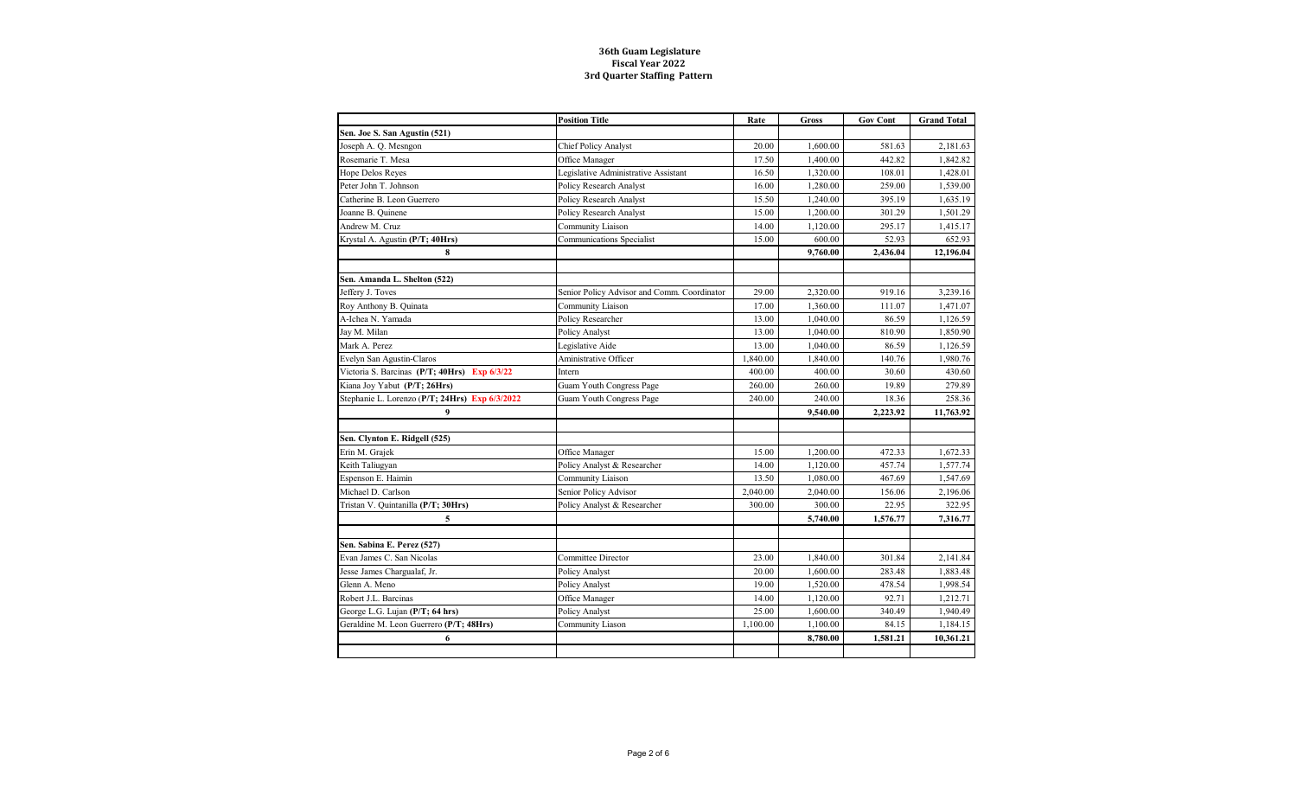|                                                | <b>Position Title</b>                       | Rate     | <b>Gross</b> | <b>Gov Cont</b> | <b>Grand Total</b> |
|------------------------------------------------|---------------------------------------------|----------|--------------|-----------------|--------------------|
| Sen. Joe S. San Agustin (521)                  |                                             |          |              |                 |                    |
| Joseph A. Q. Mesngon                           | <b>Chief Policy Analyst</b>                 | 20.00    | 1,600.00     | 581.63          | 2,181.63           |
| Rosemarie T. Mesa                              | Office Manager                              | 17.50    | 1.400.00     | 442.82          | 1.842.82           |
| Hope Delos Reyes                               | Legislative Administrative Assistant        | 16.50    | 1,320.00     | 108.01          | 1,428.01           |
| Peter John T. Johnson                          | Policy Research Analyst                     | 16.00    | 1,280.00     | 259.00          | 1,539.00           |
| Catherine B. Leon Guerrero                     | Policy Research Analyst                     | 15.50    | 1,240.00     | 395.19          | 1,635.19           |
| Joanne B. Quinene                              | Policy Research Analyst                     | 15.00    | 1,200.00     | 301.29          | 1,501.29           |
| Andrew M. Cruz                                 | Community Liaison                           | 14.00    | 1,120.00     | 295.17          | 1,415.17           |
| Krystal A. Agustin (P/T; 40Hrs)                | Communications Specialist                   | 15.00    | 600.00       | 52.93           | 652.93             |
| 8                                              |                                             |          | 9,760.00     | 2,436.04        | 12,196.04          |
|                                                |                                             |          |              |                 |                    |
| Sen. Amanda L. Shelton (522)                   |                                             |          |              |                 |                    |
| Jeffery J. Toves                               | Senior Policy Advisor and Comm. Coordinator | 29.00    | 2,320.00     | 919.16          | 3,239.16           |
| Roy Anthony B. Quinata                         | Community Liaison                           | 17.00    | 1,360.00     | 111.07          | 1,471.07           |
| A-Ichea N. Yamada                              | Policy Researcher                           | 13.00    | 1,040.00     | 86.59           | 1,126.59           |
| Jay M. Milan                                   | Policy Analyst                              | 13.00    | 1,040.00     | 810.90          | 1,850.90           |
| Mark A. Perez                                  | Legislative Aide                            | 13.00    | 1,040.00     | 86.59           | 1,126.59           |
| Evelyn San Agustin-Claros                      | Aministrative Officer                       | 1,840.00 | 1,840.00     | 140.76          | 1,980.76           |
| Victoria S. Barcinas (P/T; 40Hrs) Exp 6/3/22   | Intern                                      | 400.00   | 400.00       | 30.60           | 430.60             |
| Kiana Joy Yabut (P/T; 26Hrs)                   | Guam Youth Congress Page                    | 260.00   | 260.00       | 19.89           | 279.89             |
| Stephanie L. Lorenzo (P/T; 24Hrs) Exp 6/3/2022 | <b>Guam Youth Congress Page</b>             | 240.00   | 240.00       | 18.36           | 258.36             |
| 9                                              |                                             |          | 9,540.00     | 2,223.92        | 11,763.92          |
|                                                |                                             |          |              |                 |                    |
| Sen. Clynton E. Ridgell (525)                  |                                             |          |              |                 |                    |
| Erin M. Grajek                                 | Office Manager                              | 15.00    | 1,200.00     | 472.33          | 1.672.33           |
| Keith Taliugyan                                | Policy Analyst & Researcher                 | 14.00    | 1,120.00     | 457.74          | 1,577.74           |
| Espenson E. Haimin                             | Community Liaison                           | 13.50    | 1,080.00     | 467.69          | 1,547.69           |
| Michael D. Carlson                             | Senior Policy Advisor                       | 2,040.00 | 2,040.00     | 156.06          | 2,196.06           |
| Tristan V. Quintanilla (P/T; 30Hrs)            | Policy Analyst & Researcher                 | 300.00   | 300.00       | 22.95           | 322.95             |
| 5                                              |                                             |          | 5,740.00     | 1,576.77        | 7,316.77           |
|                                                |                                             |          |              |                 |                    |
| Sen. Sabina E. Perez (527)                     |                                             |          |              |                 |                    |
| Evan James C. San Nicolas                      | Committee Director                          | 23.00    | 1,840.00     | 301.84          | 2,141.84           |
| Jesse James Chargualaf, Jr.                    | Policy Analyst                              | 20.00    | 1,600.00     | 283.48          | 1.883.48           |
| Glenn A. Meno                                  | Policy Analyst                              | 19.00    | 1,520.00     | 478.54          | 1,998.54           |
| Robert J.L. Barcinas                           | Office Manager                              | 14.00    | 1,120.00     | 92.71           | 1,212.71           |
| George L.G. Lujan (P/T; 64 hrs)                | Policy Analyst                              | 25.00    | 1,600.00     | 340.49          | 1,940.49           |
| Geraldine M. Leon Guerrero (P/T; 48Hrs)        | Community Liason                            | 1,100.00 | 1,100.00     | 84.15           | 1,184.15           |
| 6                                              |                                             |          | 8,780.00     | 1,581.21        | 10,361.21          |
|                                                |                                             |          |              |                 |                    |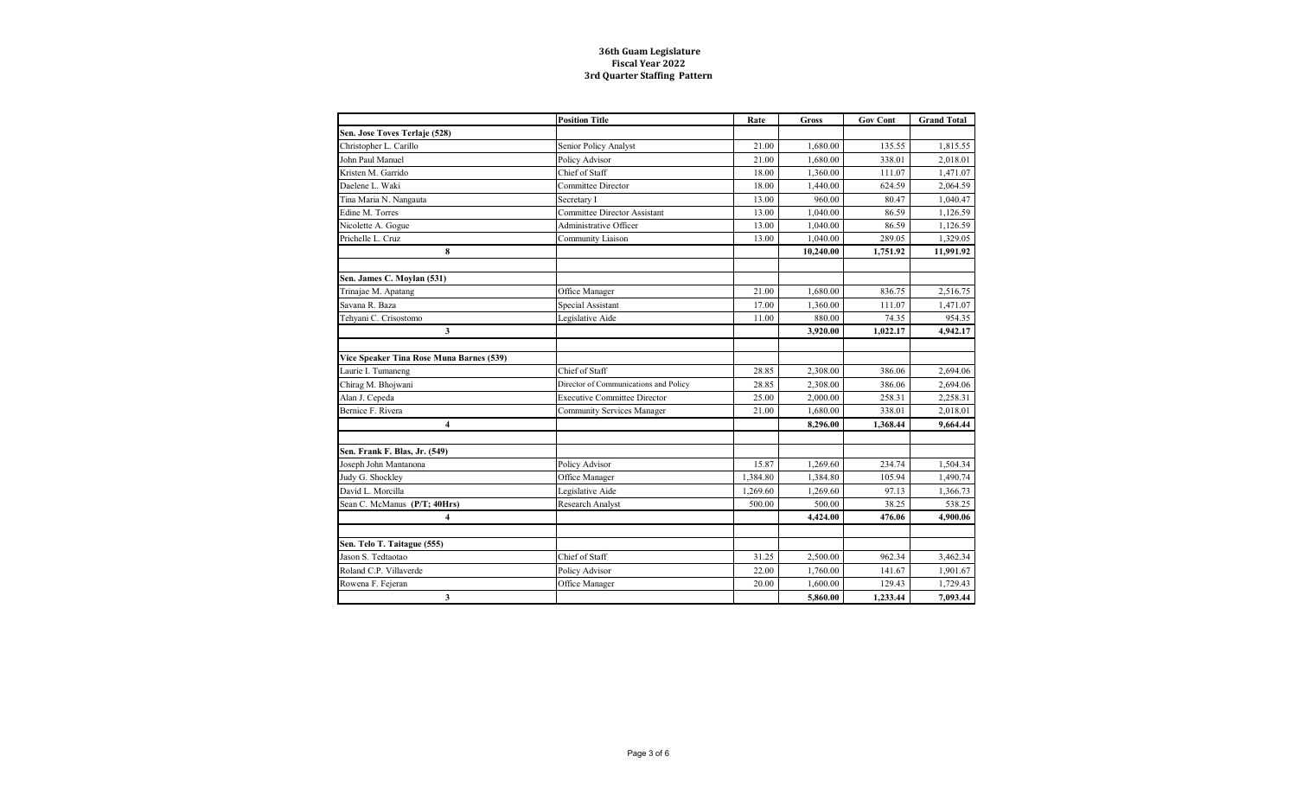|                                          | <b>Position Title</b>                 | Rate     | <b>Gross</b> | <b>Gov Cont</b> | <b>Grand Total</b> |
|------------------------------------------|---------------------------------------|----------|--------------|-----------------|--------------------|
| Sen. Jose Toves Terlaje (528)            |                                       |          |              |                 |                    |
| Christopher L. Carillo                   | Senior Policy Analyst                 | 21.00    | 1.680.00     | 135.55          | 1.815.55           |
| John Paul Manuel                         | Policy Advisor                        | 21.00    | 1,680.00     | 338.01          | 2,018.01           |
| Kristen M. Garrido                       | Chief of Staff                        | 18.00    | 1.360.00     | 111.07          | 1,471.07           |
| Daelene L. Waki                          | Committee Director                    | 18.00    | 1,440.00     | 624.59          | 2,064.59           |
| Tina Maria N. Nangauta                   | Secretary I                           | 13.00    | 960.00       | 80.47           | 1,040.47           |
| Edine M. Torres                          | Committee Director Assistant          | 13.00    | 1.040.00     | 86.59           | 1,126.59           |
| Nicolette A. Gogue                       | Administrative Officer                | 13.00    | 1,040.00     | 86.59           | 1,126.59           |
| Prichelle L. Cruz                        | Community Liaison                     | 13.00    | 1.040.00     | 289.05          | 1,329.05           |
| 8                                        |                                       |          | 10,240.00    | 1,751.92        | 11,991.92          |
|                                          |                                       |          |              |                 |                    |
| Sen. James C. Moylan (531)               |                                       |          |              |                 |                    |
| Trinajae M. Apatang                      | Office Manager                        | 21.00    | 1.680.00     | 836.75          | 2.516.75           |
| Savana R. Baza                           | Special Assistant                     | 17.00    | 1,360.00     | 111.07          | 1,471.07           |
| Tehyani C. Crisostomo                    | Legislative Aide                      | 11.00    | 880.00       | 74.35           | 954.35             |
| 3                                        |                                       |          | 3,920.00     | 1,022.17        | 4,942.17           |
|                                          |                                       |          |              |                 |                    |
| Vice Speaker Tina Rose Muna Barnes (539) |                                       |          |              |                 |                    |
| Laurie I. Tumaneng                       | Chief of Staff                        | 28.85    | 2,308.00     | 386.06          | 2,694.06           |
| Chirag M. Bhojwani                       | Director of Communications and Policy | 28.85    | 2,308.00     | 386.06          | 2,694.06           |
| Alan J. Cepeda                           | <b>Executive Committee Director</b>   | 25.00    | 2,000.00     | 258.31          | 2,258.31           |
| Bernice F. Rivera                        | <b>Community Services Manager</b>     | 21.00    | 1,680.00     | 338.01          | 2,018.01           |
| $\overline{\mathbf{4}}$                  |                                       |          | 8,296.00     | 1,368.44        | 9,664.44           |
|                                          |                                       |          |              |                 |                    |
| Sen. Frank F. Blas, Jr. (549)            |                                       |          |              |                 |                    |
| Joseph John Mantanona                    | Policy Advisor                        | 15.87    | 1,269.60     | 234.74          | 1,504.34           |
| Judy G. Shockley                         | Office Manager                        | 1,384.80 | 1,384.80     | 105.94          | 1,490.74           |
| David L. Morcilla                        | Legislative Aide                      | 1,269.60 | 1,269.60     | 97.13           | 1,366.73           |
| Sean C. McManus (P/T; 40Hrs)             | Research Analyst                      | 500.00   | 500.00       | 38.25           | 538.25             |
| $\overline{4}$                           |                                       |          | 4,424.00     | 476.06          | 4,900.06           |
|                                          |                                       |          |              |                 |                    |
| Sen. Telo T. Taitague (555)              |                                       |          |              |                 |                    |
| Jason S. Tedtaotao                       | Chief of Staff                        | 31.25    | 2,500.00     | 962.34          | 3,462.34           |
| Roland C.P. Villaverde                   | Policy Advisor                        | 22.00    | 1,760.00     | 141.67          | 1,901.67           |
| Rowena F. Fejeran                        | Office Manager                        | 20.00    | 1,600.00     | 129.43          | 1,729.43           |
| 3                                        |                                       |          | 5,860.00     | 1,233.44        | 7,093.44           |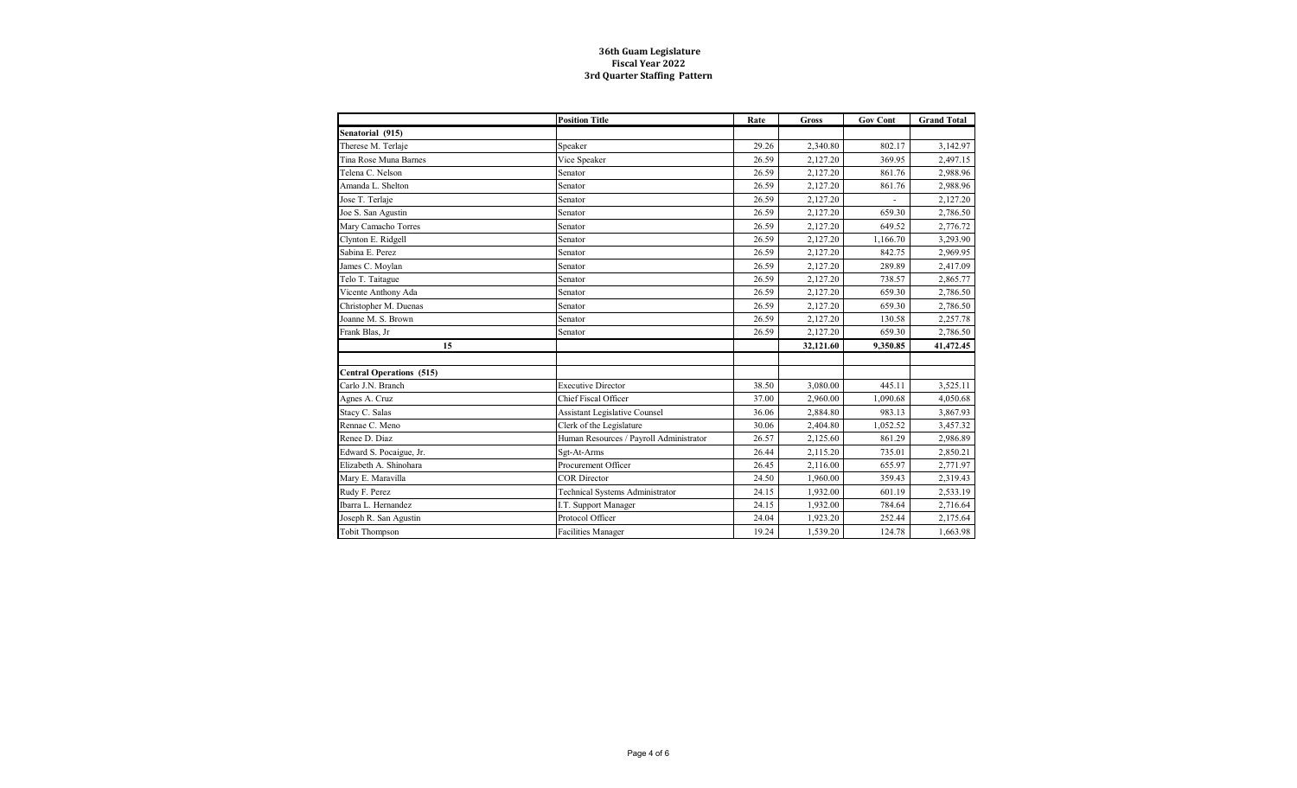|                                 | <b>Position Title</b>                   | Rate  | <b>Gross</b> | <b>Gov Cont</b> | <b>Grand Total</b> |
|---------------------------------|-----------------------------------------|-------|--------------|-----------------|--------------------|
| Senatorial (915)                |                                         |       |              |                 |                    |
| Therese M. Terlaje              | Speaker                                 | 29.26 | 2,340.80     | 802.17          | 3,142.97           |
| Tina Rose Muna Barnes           | Vice Speaker                            | 26.59 | 2,127.20     | 369.95          | 2,497.15           |
| Telena C. Nelson                | Senator                                 | 26.59 | 2,127.20     | 861.76          | 2,988.96           |
| Amanda L. Shelton               | Senator                                 | 26.59 | 2,127.20     | 861.76          | 2,988.96           |
| Jose T. Terlaje                 | Senator                                 | 26.59 | 2,127.20     |                 | 2,127.20           |
| Joe S. San Agustin              | Senator                                 | 26.59 | 2,127.20     | 659.30          | 2,786.50           |
| Mary Camacho Torres             | Senator                                 | 26.59 | 2,127.20     | 649.52          | 2,776.72           |
| Clynton E. Ridgell              | Senator                                 | 26.59 | 2,127.20     | 1,166.70        | 3,293.90           |
| Sabina E. Perez                 | Senator                                 | 26.59 | 2,127.20     | 842.75          | 2,969.95           |
| James C. Moylan                 | Senator                                 | 26.59 | 2,127.20     | 289.89          | 2,417.09           |
| Telo T. Taitague                | Senator                                 | 26.59 | 2,127.20     | 738.57          | 2,865.77           |
| Vicente Anthony Ada             | Senator                                 | 26.59 | 2,127.20     | 659.30          | 2,786.50           |
| Christopher M. Duenas           | Senator                                 | 26.59 | 2,127.20     | 659.30          | 2,786.50           |
| Joanne M. S. Brown              | Senator                                 | 26.59 | 2,127.20     | 130.58          | 2,257.78           |
| Frank Blas, Jr                  | Senator                                 | 26.59 | 2,127.20     | 659.30          | 2,786.50           |
| 15                              |                                         |       | 32,121.60    | 9,350.85        | 41,472.45          |
|                                 |                                         |       |              |                 |                    |
| <b>Central Operations (515)</b> |                                         |       |              |                 |                    |
| Carlo J.N. Branch               | <b>Executive Director</b>               | 38.50 | 3,080.00     | 445.11          | 3,525.11           |
| Agnes A. Cruz                   | <b>Chief Fiscal Officer</b>             | 37.00 | 2,960.00     | 1,090.68        | 4,050.68           |
| Stacy C. Salas                  | <b>Assistant Legislative Counsel</b>    | 36.06 | 2,884.80     | 983.13          | 3,867.93           |
| Rennae C. Meno                  | Clerk of the Legislature                | 30.06 | 2,404.80     | 1,052.52        | 3,457.32           |
| Renee D. Diaz                   | Human Resources / Payroll Administrator | 26.57 | 2,125.60     | 861.29          | 2,986.89           |
| Edward S. Pocaigue, Jr.         | Sgt-At-Arms                             | 26.44 | 2,115.20     | 735.01          | 2,850.21           |
| Elizabeth A. Shinohara          | Procurement Officer                     | 26.45 | 2.116.00     | 655.97          | 2,771.97           |
| Mary E. Maravilla               | <b>COR</b> Director                     | 24.50 | 1,960.00     | 359.43          | 2,319.43           |
| Rudy F. Perez                   | Technical Systems Administrator         | 24.15 | 1,932.00     | 601.19          | 2,533.19           |
| Ibarra L. Hernandez             | I.T. Support Manager                    | 24.15 | 1,932.00     | 784.64          | 2,716.64           |
| Joseph R. San Agustin           | Protocol Officer                        | 24.04 | 1,923.20     | 252.44          | 2,175.64           |
| <b>Tobit Thompson</b>           | <b>Facilities Manager</b>               | 19.24 | 1,539.20     | 124.78          | 1,663.98           |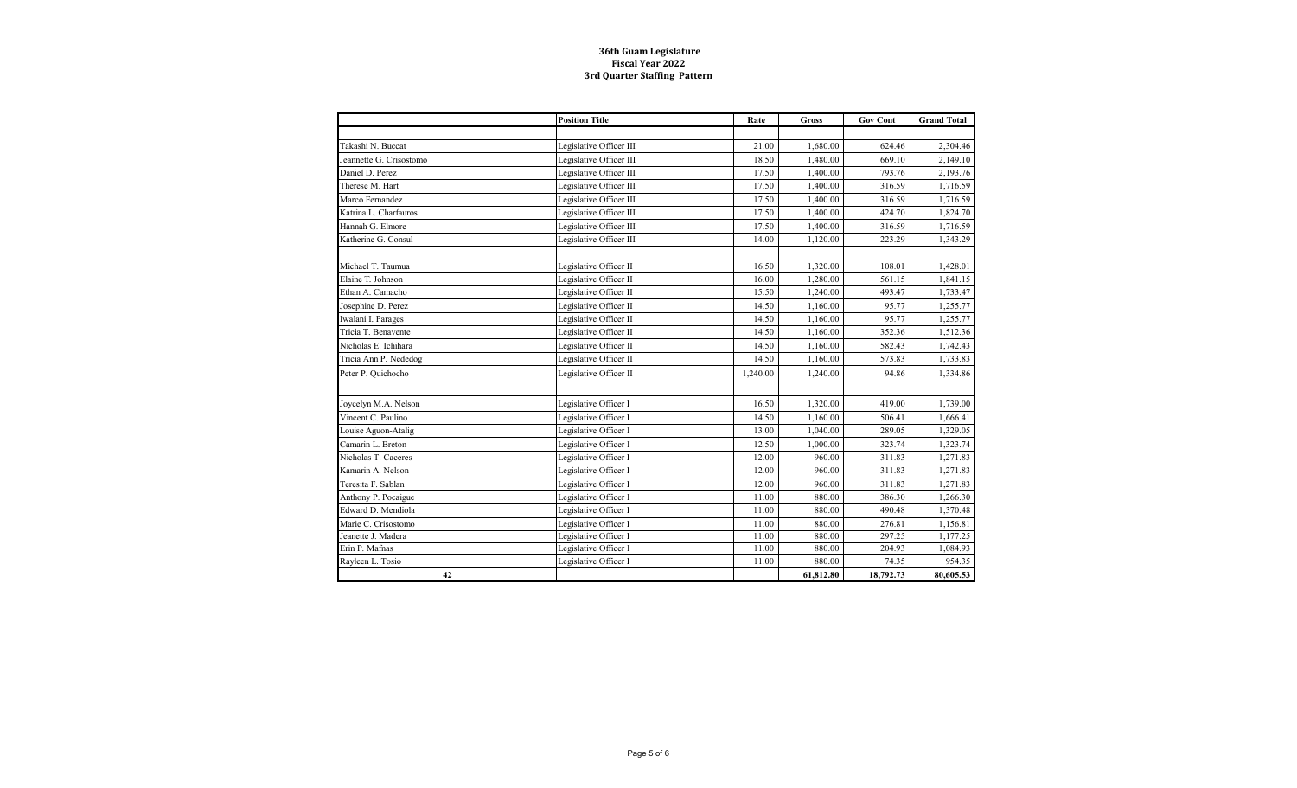|                         | <b>Position Title</b>   | Rate     | <b>Gross</b> | <b>Gov Cont</b> | <b>Grand Total</b> |
|-------------------------|-------------------------|----------|--------------|-----------------|--------------------|
|                         |                         |          |              |                 |                    |
| Takashi N. Buccat       | Legislative Officer III | 21.00    | 1,680.00     | 624.46          | 2,304.46           |
| Jeannette G. Crisostomo | Legislative Officer III | 18.50    | 1,480.00     | 669.10          | 2,149.10           |
| Daniel D. Perez         | Legislative Officer III | 17.50    | 1,400.00     | 793.76          | 2,193.76           |
| Therese M. Hart         | Legislative Officer III | 17.50    | 1,400.00     | 316.59          | 1,716.59           |
| Marco Fernandez         | Legislative Officer III | 17.50    | 1,400.00     | 316.59          | 1,716.59           |
| Katrina L. Charfauros   | Legislative Officer III | 17.50    | 1,400.00     | 424.70          | 1,824.70           |
| Hannah G. Elmore        | Legislative Officer III | 17.50    | 1,400.00     | 316.59          | 1,716.59           |
| Katherine G. Consul     | Legislative Officer III | 14.00    | 1,120.00     | 223.29          | 1,343.29           |
| Michael T. Taumua       | Legislative Officer II  | 16.50    | 1,320.00     | 108.01          | 1,428.01           |
| Elaine T. Johnson       | Legislative Officer II  | 16.00    | 1,280.00     | 561.15          | 1,841.15           |
| Ethan A. Camacho        | Legislative Officer II  | 15.50    | 1,240.00     | 493.47          | 1,733.47           |
| Josephine D. Perez      | Legislative Officer II  | 14.50    | 1,160.00     | 95.77           | 1,255.77           |
| Iwalani I. Parages      | Legislative Officer II  | 14.50    | 1,160.00     | 95.77           | 1,255.77           |
| Tricia T. Benavente     | Legislative Officer II  | 14.50    | 1,160.00     | 352.36          | 1,512.36           |
| Nicholas E. Ichihara    | Legislative Officer II  | 14.50    | 1,160.00     | 582.43          | 1,742.43           |
| Tricia Ann P. Nededog   | Legislative Officer II  | 14.50    | 1,160.00     | 573.83          | 1,733.83           |
| Peter P. Quichocho      | Legislative Officer II  | 1.240.00 | 1,240.00     | 94.86           | 1,334.86           |
|                         |                         |          |              |                 |                    |
| Joycelyn M.A. Nelson    | Legislative Officer I   | 16.50    | 1,320.00     | 419.00          | 1,739.00           |
| Vincent C. Paulino      | Legislative Officer I   | 14.50    | 1,160.00     | 506.41          | 1,666.41           |
| Louise Aguon-Atalig     | Legislative Officer I   | 13.00    | 1,040.00     | 289.05          | 1,329.05           |
| Camarin L. Breton       | Legislative Officer I   | 12.50    | 1,000.00     | 323.74          | 1,323.74           |
| Nicholas T. Caceres     | Legislative Officer I   | 12.00    | 960.00       | 311.83          | 1,271.83           |
| Kamarin A. Nelson       | Legislative Officer I   | 12.00    | 960.00       | 311.83          | 1,271.83           |
| Teresita F. Sablan      | Legislative Officer I   | 12.00    | 960.00       | 311.83          | 1,271.83           |
| Anthony P. Pocaigue     | Legislative Officer I   | 11.00    | 880.00       | 386.30          | 1,266.30           |
| Edward D. Mendiola      | Legislative Officer I   | 11.00    | 880.00       | 490.48          | 1,370.48           |
| Marie C. Crisostomo     | Legislative Officer I   | 11.00    | 880.00       | 276.81          | 1,156.81           |
| Jeanette J. Madera      | Legislative Officer I   | 11.00    | 880.00       | 297.25          | 1,177.25           |
| Erin P. Mafnas          | Legislative Officer I   | 11.00    | 880.00       | 204.93          | 1,084.93           |
| Rayleen L. Tosio        | Legislative Officer I   | 11.00    | 880.00       | 74.35           | 954.35             |
| 42                      |                         |          | 61,812.80    | 18,792.73       | 80,605.53          |